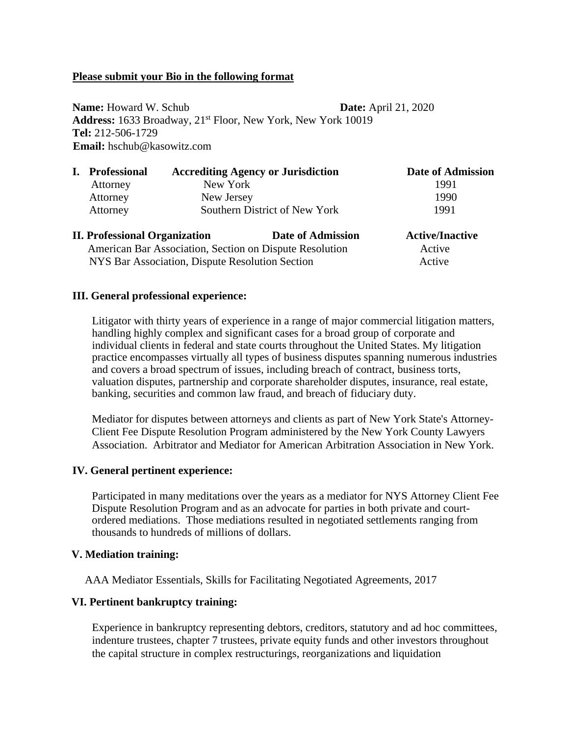# **Please submit your Bio in the following format**

**Name:** Howard W. Schub **Date:** April 21, 2020 **Address:** 1633 Broadway, 21st Floor, New York, New York 10019 **Tel:** 212-506-1729 **Email:** hschub@kasowitz.com

|                                                         | <b>Professional</b>    | <b>Accrediting Agency or Jurisdiction</b><br>New York |                          | <b>Date of Admission</b> |
|---------------------------------------------------------|------------------------|-------------------------------------------------------|--------------------------|--------------------------|
|                                                         | Attorney               |                                                       |                          | 1991<br>1990             |
|                                                         | Attorney<br>New Jersey |                                                       |                          |                          |
|                                                         | Attorney               | Southern District of New York                         |                          | 1991                     |
| <b>II. Professional Organization</b>                    |                        |                                                       | <b>Date of Admission</b> | <b>Active/Inactive</b>   |
| American Bar Association, Section on Dispute Resolution |                        |                                                       |                          | Active                   |

NYS Bar Association, Dispute Resolution Section Active

## **III. General professional experience:**

Litigator with thirty years of experience in a range of major commercial litigation matters, handling highly complex and significant cases for a broad group of corporate and individual clients in federal and state courts throughout the United States. My litigation practice encompasses virtually all types of business disputes spanning numerous industries and covers a broad spectrum of issues, including breach of contract, business torts, valuation disputes, partnership and corporate shareholder disputes, insurance, real estate, banking, securities and common law fraud, and breach of fiduciary duty.

Mediator for disputes between attorneys and clients as part of New York State's Attorney-Client Fee Dispute Resolution Program administered by the New York County Lawyers Association. Arbitrator and Mediator for American Arbitration Association in New York.

### **IV. General pertinent experience:**

Participated in many meditations over the years as a mediator for NYS Attorney Client Fee Dispute Resolution Program and as an advocate for parties in both private and courtordered mediations. Those mediations resulted in negotiated settlements ranging from thousands to hundreds of millions of dollars.

### **V. Mediation training:**

AAA Mediator Essentials, Skills for Facilitating Negotiated Agreements, 2017

# **VI. Pertinent bankruptcy training:**

Experience in bankruptcy representing debtors, creditors, statutory and ad hoc committees, indenture trustees, chapter 7 trustees, private equity funds and other investors throughout the capital structure in complex restructurings, reorganizations and liquidation